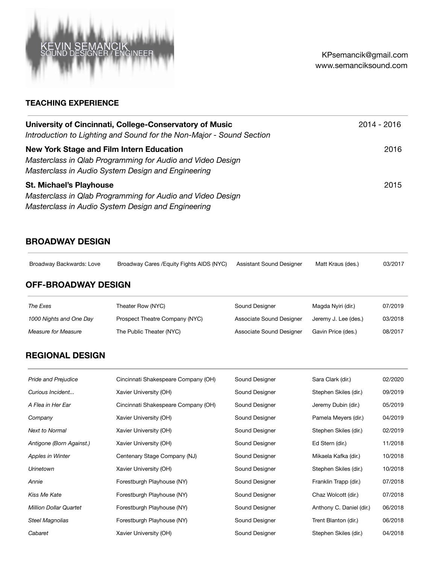

## **TEACHING EXPERIENCE**

| University of Cincinnati, College-Conservatory of Music                                                                                                      | 2014 - 2016 |
|--------------------------------------------------------------------------------------------------------------------------------------------------------------|-------------|
| Introduction to Lighting and Sound for the Non-Major - Sound Section                                                                                         |             |
| New York Stage and Film Intern Education<br>Masterclass in Qlab Programming for Audio and Video Design<br>Masterclass in Audio System Design and Engineering | 2016        |
| <b>St. Michael's Playhouse</b><br>Masterclass in Qlab Programming for Audio and Video Design<br>Masterclass in Audio System Design and Engineering           | 2015        |

### **BROADWAY DESIGN**

Broadway Backwards: Love Broadway Cares /Equity Fights AIDS (NYC) Assistant Sound Designer Matt Kraus (des.) 03/2017

## **OFF-BROADWAY DESIGN**

| The Exes                | Theater Row (NYC)              | Sound Designer           | Magda Nyiri (dir.)   | 07/2019 |
|-------------------------|--------------------------------|--------------------------|----------------------|---------|
| 1000 Nights and One Day | Prospect Theatre Company (NYC) | Associate Sound Designer | Jeremy J. Lee (des.) | 03/2018 |
| Measure for Measure     | The Public Theater (NYC)       | Associate Sound Designer | Gavin Price (des.)   | 08/2017 |

# **REGIONAL DESIGN**

| <b>Pride and Prejudice</b>    | Cincinnati Shakespeare Company (OH) | Sound Designer | Sara Clark (dir.)        | 02/2020 |
|-------------------------------|-------------------------------------|----------------|--------------------------|---------|
| Curious Incident              | Xavier University (OH)              | Sound Designer | Stephen Skiles (dir.)    | 09/2019 |
| A Flea in Her Ear             | Cincinnati Shakespeare Company (OH) | Sound Designer | Jeremy Dubin (dir.)      | 05/2019 |
| Company                       | Xavier University (OH)              | Sound Designer | Pamela Meyers (dir.)     | 04/2019 |
| <b>Next to Normal</b>         | Xavier University (OH)              | Sound Designer | Stephen Skiles (dir.)    | 02/2019 |
| Antigone (Born Against.)      | Xavier University (OH)              | Sound Designer | Ed Stern (dir.)          | 11/2018 |
| Apples in Winter              | Centenary Stage Company (NJ)        | Sound Designer | Mikaela Kafka (dir.)     | 10/2018 |
| <b>Urinetown</b>              | Xavier University (OH)              | Sound Designer | Stephen Skiles (dir.)    | 10/2018 |
| Annie                         | Forestburgh Playhouse (NY)          | Sound Designer | Franklin Trapp (dir.)    | 07/2018 |
| Kiss Me Kate                  | Forestburgh Playhouse (NY)          | Sound Designer | Chaz Wolcott (dir.)      | 07/2018 |
| <b>Million Dollar Quartet</b> | Forestburgh Playhouse (NY)          | Sound Designer | Anthony C. Daniel (dir.) | 06/2018 |
| <b>Steel Magnolias</b>        | Forestburgh Playhouse (NY)          | Sound Designer | Trent Blanton (dir.)     | 06/2018 |
| Cabaret                       | Xavier University (OH)              | Sound Designer | Stephen Skiles (dir.)    | 04/2018 |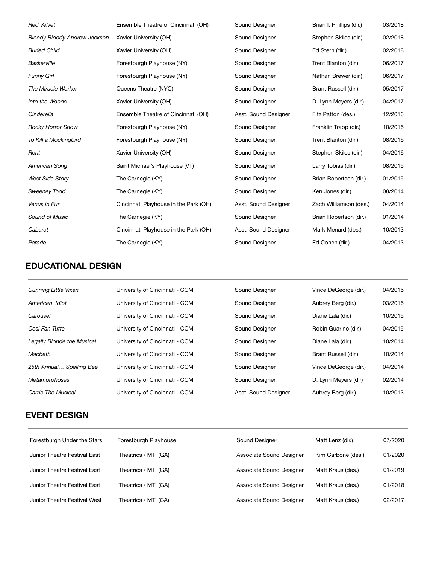| <b>Red Velvet</b>                   | Ensemble Theatre of Cincinnati (OH)   | Sound Designer       | Brian I. Phillips (dir.) | 03/2018 |
|-------------------------------------|---------------------------------------|----------------------|--------------------------|---------|
| <b>Bloody Bloody Andrew Jackson</b> | Xavier University (OH)                | Sound Designer       | Stephen Skiles (dir.)    | 02/2018 |
| <b>Buried Child</b>                 | Xavier University (OH)                | Sound Designer       | Ed Stern (dir.)          | 02/2018 |
| Baskerville                         | Forestburgh Playhouse (NY)            | Sound Designer       | Trent Blanton (dir.)     | 06/2017 |
| <b>Funny Girl</b>                   | Forestburgh Playhouse (NY)            | Sound Designer       | Nathan Brewer (dir.)     | 06/2017 |
| The Miracle Worker                  | Queens Theatre (NYC)                  | Sound Designer       | Brant Russell (dir.)     | 05/2017 |
| Into the Woods                      | Xavier University (OH)                | Sound Designer       | D. Lynn Meyers (dir.)    | 04/2017 |
| Cinderella                          | Ensemble Theatre of Cincinnati (OH)   | Asst. Sound Designer | Fitz Patton (des.)       | 12/2016 |
| Rocky Horror Show                   | Forestburgh Playhouse (NY)            | Sound Designer       | Franklin Trapp (dir.)    | 10/2016 |
| To Kill a Mockingbird               | Forestburgh Playhouse (NY)            | Sound Designer       | Trent Blanton (dir.)     | 08/2016 |
| Rent                                | Xavier University (OH)                | Sound Designer       | Stephen Skiles (dir.)    | 04/2016 |
| American Song                       | Saint Michael's Playhouse (VT)        | Sound Designer       | Larry Tobias (dir.)      | 08/2015 |
| <b>West Side Story</b>              | The Carnegie (KY)                     | Sound Designer       | Brian Robertson (dir.)   | 01/2015 |
| <b>Sweeney Todd</b>                 | The Carnegie (KY)                     | Sound Designer       | Ken Jones (dir.)         | 08/2014 |
| Venus in Fur                        | Cincinnati Playhouse in the Park (OH) | Asst. Sound Designer | Zach Williamson (des.)   | 04/2014 |
| Sound of Music                      | The Carnegie (KY)                     | Sound Designer       | Brian Robertson (dir.)   | 01/2014 |
| Cabaret                             | Cincinnati Playhouse in the Park (OH) | Asst. Sound Designer | Mark Menard (des.)       | 10/2013 |
| Parade                              | The Carnegie (KY)                     | Sound Designer       | Ed Cohen (dir.)          | 04/2013 |

# **EDUCATIONAL DESIGN**

| <b>Cunning Little Vixen</b>       | University of Cincinnati - CCM | Sound Designer       | Vince DeGeorge (dir.) | 04/2016 |
|-----------------------------------|--------------------------------|----------------------|-----------------------|---------|
| American Idiot                    | University of Cincinnati - CCM | Sound Designer       | Aubrey Berg (dir.)    | 03/2016 |
| Carousel                          | University of Cincinnati - CCM | Sound Designer       | Diane Lala (dir.)     | 10/2015 |
| Cosi Fan Tutte                    | University of Cincinnati - CCM | Sound Designer       | Robin Guarino (dir.)  | 04/2015 |
| <b>Legally Blonde the Musical</b> | University of Cincinnati - CCM | Sound Designer       | Diane Lala (dir.)     | 10/2014 |
| Macbeth                           | University of Cincinnati - CCM | Sound Designer       | Brant Russell (dir.)  | 10/2014 |
| 25th Annual Spelling Bee          | University of Cincinnati - CCM | Sound Designer       | Vince DeGeorge (dir.) | 04/2014 |
| <b>Metamorphoses</b>              | University of Cincinnati - CCM | Sound Designer       | D. Lynn Meyers (dir)  | 02/2014 |
| Carrie The Musical                | University of Cincinnati - CCM | Asst. Sound Designer | Aubrey Berg (dir.)    | 10/2013 |

## **EVENT DESIGN**

| Forestburgh Under the Stars  | Forestburgh Playhouse | Sound Designer           | Matt Lenz (dir.)   | 07/2020 |
|------------------------------|-----------------------|--------------------------|--------------------|---------|
|                              |                       |                          |                    |         |
| Junior Theatre Festival East | iTheatrics / MTI (GA) | Associate Sound Designer | Kim Carbone (des.) | 01/2020 |
| Junior Theatre Festival East | iTheatrics / MTI (GA) | Associate Sound Designer | Matt Kraus (des.)  | 01/2019 |
| Junior Theatre Festival East | iTheatrics / MTI (GA) | Associate Sound Designer | Matt Kraus (des.)  | 01/2018 |
| Junior Theatre Festival West | iTheatrics / MTI (CA) | Associate Sound Designer | Matt Kraus (des.)  | 02/2017 |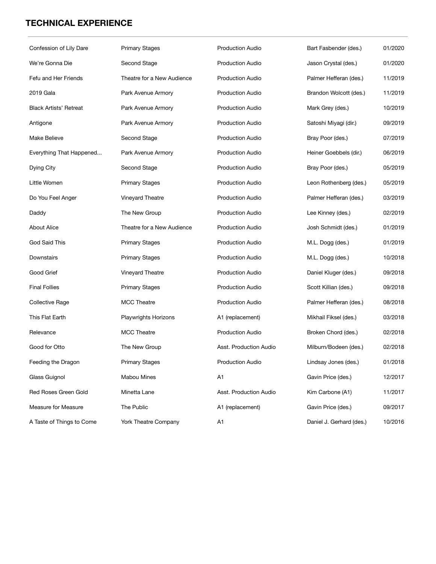# **TECHNICAL EXPERIENCE**

| Confession of Lily Dare       | <b>Primary Stages</b>       | <b>Production Audio</b> | Bart Fasbender (des.)    | 01/2020 |
|-------------------------------|-----------------------------|-------------------------|--------------------------|---------|
| We're Gonna Die               | Second Stage                | <b>Production Audio</b> | Jason Crystal (des.)     | 01/2020 |
| Fefu and Her Friends          | Theatre for a New Audience  | <b>Production Audio</b> | Palmer Hefferan (des.)   | 11/2019 |
| 2019 Gala                     | Park Avenue Armory          | <b>Production Audio</b> | Brandon Wolcott (des.)   | 11/2019 |
| <b>Black Artists' Retreat</b> | Park Avenue Armory          | <b>Production Audio</b> | Mark Grey (des.)         | 10/2019 |
| Antigone                      | Park Avenue Armory          | <b>Production Audio</b> | Satoshi Miyagi (dir.)    | 09/2019 |
| Make Believe                  | Second Stage                | <b>Production Audio</b> | Bray Poor (des.)         | 07/2019 |
|                               |                             |                         |                          |         |
| Everything That Happened      | Park Avenue Armory          | <b>Production Audio</b> | Heiner Goebbels (dir.)   | 06/2019 |
| Dying City                    | Second Stage                | <b>Production Audio</b> | Bray Poor (des.)         | 05/2019 |
| Little Women                  | <b>Primary Stages</b>       | <b>Production Audio</b> | Leon Rothenberg (des.)   | 05/2019 |
| Do You Feel Anger             | Vineyard Theatre            | <b>Production Audio</b> | Palmer Hefferan (des.)   | 03/2019 |
| Daddy                         | The New Group               | <b>Production Audio</b> | Lee Kinney (des.)        | 02/2019 |
| <b>About Alice</b>            | Theatre for a New Audience  | <b>Production Audio</b> | Josh Schmidt (des.)      | 01/2019 |
| God Said This                 | <b>Primary Stages</b>       | <b>Production Audio</b> | M.L. Dogg (des.)         | 01/2019 |
| Downstairs                    | <b>Primary Stages</b>       | <b>Production Audio</b> | M.L. Dogg (des.)         | 10/2018 |
| Good Grief                    | Vineyard Theatre            | <b>Production Audio</b> | Daniel Kluger (des.)     | 09/2018 |
| <b>Final Follies</b>          | <b>Primary Stages</b>       | <b>Production Audio</b> | Scott Killian (des.)     | 09/2018 |
| Collective Rage               | <b>MCC Theatre</b>          | <b>Production Audio</b> | Palmer Hefferan (des.)   | 08/2018 |
| This Flat Earth               | <b>Playwrights Horizons</b> | A1 (replacement)        | Mikhail Fiksel (des.)    | 03/2018 |
| Relevance                     | <b>MCC Theatre</b>          | <b>Production Audio</b> | Broken Chord (des.)      | 02/2018 |
| Good for Otto                 | The New Group               | Asst. Production Audio  | Milburn/Bodeen (des.)    | 02/2018 |
| Feeding the Dragon            | <b>Primary Stages</b>       | <b>Production Audio</b> | Lindsay Jones (des.)     | 01/2018 |
| Glass Guignol                 | <b>Mabou Mines</b>          | A1                      | Gavin Price (des.)       | 12/2017 |
| <b>Red Roses Green Gold</b>   | Minetta Lane                | Asst. Production Audio  | Kim Carbone (A1)         | 11/2017 |
| Measure for Measure           | The Public                  | A1 (replacement)        | Gavin Price (des.)       | 09/2017 |
| A Taste of Things to Come     | York Theatre Company        | A1                      | Daniel J. Gerhard (des.) | 10/2016 |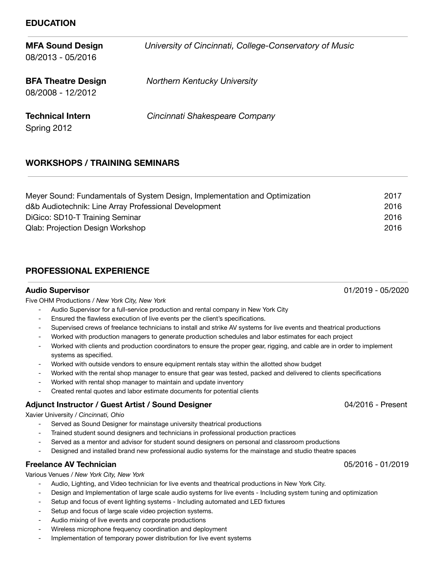### **EDUCATION**

| <b>MFA Sound Design</b><br>08/2013 - 05/2016   | University of Cincinnati, College-Conservatory of Music |
|------------------------------------------------|---------------------------------------------------------|
| <b>BFA Theatre Design</b><br>08/2008 - 12/2012 | <b>Northern Kentucky University</b>                     |
| <b>Technical Intern</b><br>Spring 2012         | Cincinnati Shakespeare Company                          |

## **WORKSHOPS / TRAINING SEMINARS**

| Meyer Sound: Fundamentals of System Design, Implementation and Optimization | 2017 |
|-----------------------------------------------------------------------------|------|
| d&b Audiotechnik: Line Array Professional Development                       | 2016 |
| DiGico: SD10-T Training Seminar                                             | 2016 |
| <b>Qlab: Projection Design Workshop</b>                                     | 2016 |

## **PROFESSIONAL EXPERIENCE**

Five OHM Productions / *New York City, New York*

- Audio Supervisor for a full-service production and rental company in New York City
- Ensured the flawless execution of live events per the client's specifications.
- Supervised crews of freelance technicians to install and strike AV systems for live events and theatrical productions
- Worked with production managers to generate production schedules and labor estimates for each project
- Worked with clients and production coordinators to ensure the proper gear, rigging, and cable are in order to implement systems as specified.
- Worked with outside vendors to ensure equipment rentals stay within the allotted show budget
- Worked with the rental shop manager to ensure that gear was tested, packed and delivered to clients specifications
- Worked with rental shop manager to maintain and update inventory
- Created rental quotes and labor estimate documents for potential clients

### **Adjunct Instructor / Guest Artist / Sound Designer** 04/2016 - Present

### Xavier University / *Cincinnati, Ohio*

- Served as Sound Designer for mainstage university theatrical productions
- Trained student sound designers and technicians in professional production practices
- Served as a mentor and advisor for student sound designers on personal and classroom productions
- Designed and installed brand new professional audio systems for the mainstage and studio theatre spaces

### **Freelance AV Technician** 05/2016 - 01/2019

Various Venues / *New York City, New York*

- Audio, Lighting, and Video technician for live events and theatrical productions in New York City.
- Design and Implementation of large scale audio systems for live events Including system tuning and optimization
- Setup and focus of event lighting systems Including automated and LED fixtures
- Setup and focus of large scale video projection systems.
- Audio mixing of live events and corporate productions
- Wireless microphone frequency coordination and deployment
- Implementation of temporary power distribution for live event systems

**Audio Supervisor** 01/2019 - 05/2020